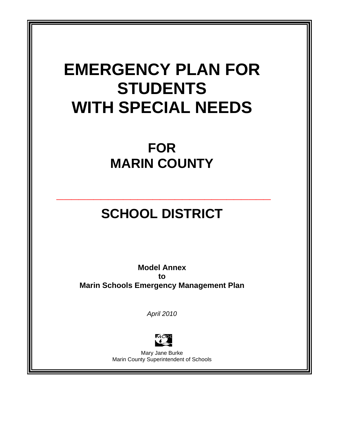# **EMERGENCY PLAN FOR STUDENTS WITH SPECIAL NEEDS**

# **FOR MARIN COUNTY**

# **SCHOOL DISTRICT**

**\_\_\_\_\_\_\_\_\_\_\_\_\_\_\_\_\_\_\_\_\_\_\_\_\_\_\_\_\_** 

**Model Annex to Marin Schools Emergency Management Plan** 

*April 2010* 



Mary Jane Burke Marin County Superintendent of Schools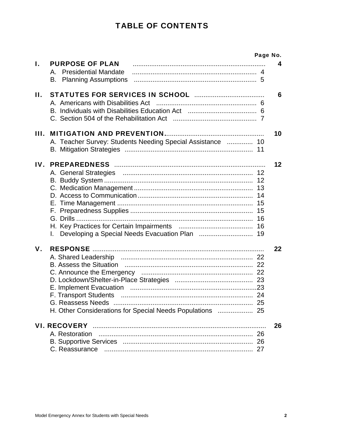# **TABLE OF CONTENTS**

|     |                                                                                     | Page No. |
|-----|-------------------------------------------------------------------------------------|----------|
| I.  | <b>PURPOSE OF PLAN</b><br>A. Presidential Mandate<br><b>B.</b> Planning Assumptions | 4        |
| П.  |                                                                                     | 6        |
| Ш.  | A. Teacher Survey: Students Needing Special Assistance  10                          | 10       |
| IV. | G. Drills<br>L.                                                                     | 12       |
| V.  | H. Other Considerations for Special Needs Populations  25                           | 22       |
|     | A. Restoration                                                                      | 26       |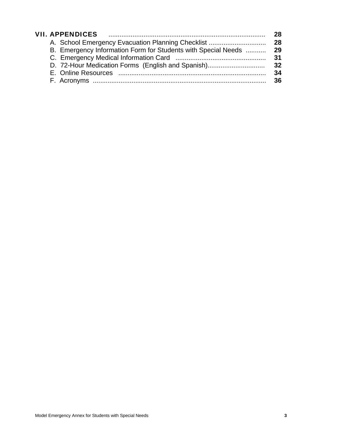|  | <b>VII. APPENDICES</b>                                        | 28. |
|--|---------------------------------------------------------------|-----|
|  | A. School Emergency Evacuation Planning Checklist             | 28  |
|  | B. Emergency Information Form for Students with Special Needs | 29  |
|  |                                                               | 31  |
|  | D. 72-Hour Medication Forms (English and Spanish)             | 32  |
|  |                                                               | 34  |
|  |                                                               | 36. |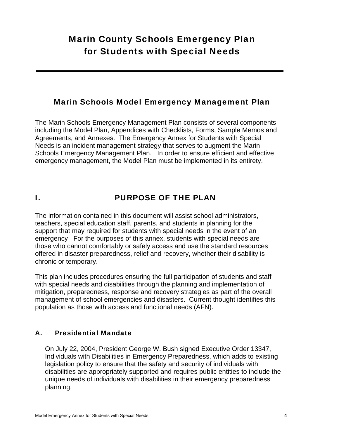# Marin County Schools Emergency Plan for Students with Special Needs

### Marin Schools Model Emergency Management Plan

The Marin Schools Emergency Management Plan consists of several components including the Model Plan, Appendices with Checklists, Forms, Sample Memos and Agreements, and Annexes. The Emergency Annex for Students with Special Needs is an incident management strategy that serves to augment the Marin Schools Emergency Management Plan. In order to ensure efficient and effective emergency management, the Model Plan must be implemented in its entirety.

# I. PURPOSE OF THE PLAN

The information contained in this document will assist school administrators, teachers, special education staff, parents, and students in planning for the support that may required for students with special needs in the event of an emergency For the purposes of this annex, students with special needs are those who cannot comfortably or safely access and use the standard resources offered in disaster preparedness, relief and recovery, whether their disability is chronic or temporary.

This plan includes procedures ensuring the full participation of students and staff with special needs and disabilities through the planning and implementation of mitigation, preparedness, response and recovery strategies as part of the overall management of school emergencies and disasters. Current thought identifies this population as those with access and functional needs (AFN).

### A. Presidential Mandate

On July 22, 2004, President George W. Bush signed Executive Order 13347, Individuals with Disabilities in Emergency Preparedness, which adds to existing legislation policy to ensure that the safety and security of individuals with disabilities are appropriately supported and requires public entities to include the unique needs of individuals with disabilities in their emergency preparedness planning.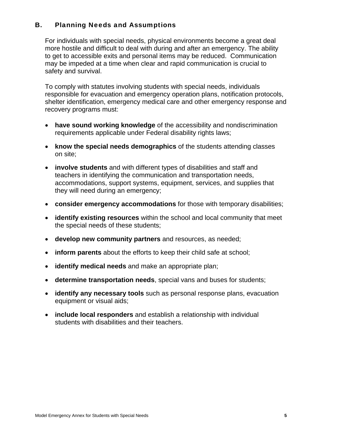### B. Planning Needs and Assumptions

For individuals with special needs, physical environments become a great deal more hostile and difficult to deal with during and after an emergency. The ability to get to accessible exits and personal items may be reduced. Communication may be impeded at a time when clear and rapid communication is crucial to safety and survival.

To comply with statutes involving students with special needs, individuals responsible for evacuation and emergency operation plans, notification protocols, shelter identification, emergency medical care and other emergency response and recovery programs must:

- **have sound working knowledge** of the accessibility and nondiscrimination requirements applicable under Federal disability rights laws;
- **know the special needs demographics** of the students attending classes on site;
- **involve students** and with different types of disabilities and staff and teachers in identifying the communication and transportation needs, accommodations, support systems, equipment, services, and supplies that they will need during an emergency;
- **consider emergency accommodations** for those with temporary disabilities;
- **identify existing resources** within the school and local community that meet the special needs of these students;
- **develop new community partners** and resources, as needed;
- **inform parents** about the efforts to keep their child safe at school;
- **identify medical needs** and make an appropriate plan;
- **determine transportation needs**, special vans and buses for students;
- **identify any necessary tools** such as personal response plans, evacuation equipment or visual aids;
- **include local responders** and establish a relationship with individual students with disabilities and their teachers.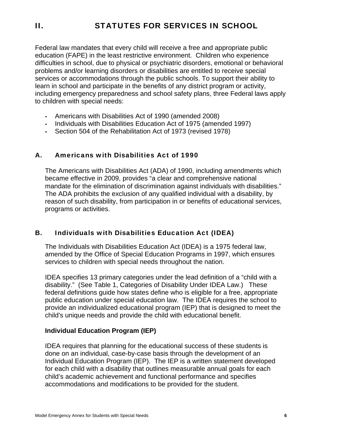Federal law mandates that every child will receive a free and appropriate public education (FAPE) in the least restrictive environment. Children who experience difficulties in school, due to physical or psychiatric disorders, emotional or behavioral problems and/or learning disorders or disabilities are entitled to receive special services or accommodations through the public schools. To support their ability to learn in school and participate in the benefits of any district program or activity, including emergency preparedness and school safety plans, three Federal laws apply to children with special needs:

- Americans with Disabilities Act of 1990 (amended 2008)
- Individuals with Disabilities Education Act of 1975 (amended 1997)
- Section 504 of the Rehabilitation Act of 1973 (revised 1978)

### A. Americans with Disabilities Act of 1990

The Americans with Disabilities Act (ADA) of 1990, including amendments which became effective in 2009, provides "a clear and comprehensive national mandate for the elimination of discrimination against individuals with disabilities." The ADA prohibits the exclusion of any qualified individual with a disability, by reason of such disability, from participation in or benefits of educational services, programs or activities.

### B. Individuals with Disabilities Education Act (IDEA)

The Individuals with Disabilities Education Act (IDEA) is a 1975 federal law, amended by the Office of Special Education Programs in 1997, which ensures services to children with special needs throughout the nation.

IDEA specifies 13 primary categories under the lead definition of a "child with a disability." (See Table 1, Categories of Disability Under IDEA Law.) These federal definitions guide how states define who is eligible for a free, appropriate public education under special education law. The IDEA requires the school to provide an individualized educational program (IEP) that is designed to meet the child's unique needs and provide the child with educational benefit.

### **Individual Education Program (IEP)**

IDEA requires that planning for the educational success of these students is done on an individual, case-by-case basis through the development of an Individual Education Program (IEP). The IEP is a written statement developed for each child with a disability that outlines measurable annual goals for each child's academic achievement and functional performance and specifies accommodations and modifications to be provided for the student.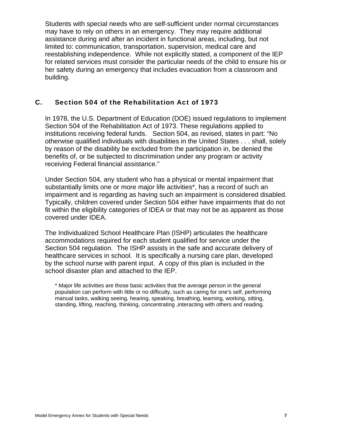Students with special needs who are self-sufficient under normal circumstances may have to rely on others in an emergency. They may require additional assistance during and after an incident in functional areas, including, but not limited to: communication, transportation, supervision, medical care and reestablishing independence. While not explicitly stated, a component of the IEP for related services must consider the particular needs of the child to ensure his or her safety during an emergency that includes evacuation from a classroom and building.

### C. Section 504 of the Rehabilitation Act of 1973

In 1978, the U.S. Department of Education (DOE) issued regulations to implement Section 504 of the Rehabilitation Act of 1973. These regulations applied to institutions receiving federal funds. Section 504, as revised, states in part: "No otherwise qualified individuals with disabilities in the United States . . . shall, solely by reason of the disability be excluded from the participation in, be denied the benefits of, or be subjected to discrimination under any program or activity receiving Federal financial assistance."

Under Section 504, any student who has a physical or mental impairment that substantially limits one or more major life activities\*, has a record of such an impairment and is regarding as having such an impairment is considered disabled. Typically, children covered under Section 504 either have impairments that do not fit within the eligibility categories of IDEA or that may not be as apparent as those covered under IDEA.

The Individualized School Healthcare Plan (ISHP) articulates the healthcare accommodations required for each student qualified for service under the Section 504 regulation. The ISHP assists in the safe and accurate delivery of healthcare services in school. It is specifically a nursing care plan, developed by the school nurse with parent input. A copy of this plan is included in the school disaster plan and attached to the IEP.

\* Major life activities are those basic activities that the average person in the general population can perform with little or no difficulty, such as caring for one's self, performing manual tasks, walking seeing, hearing, speaking, breathing, learning, working, sitting, standing, lifting, reaching, thinking, concentrating ,interacting with others and reading.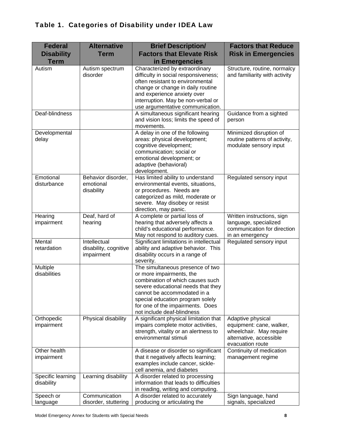| <b>Federal</b><br><b>Disability</b><br><b>Term</b> | <b>Alternative</b><br><b>Term</b>                   | <b>Brief Description/</b><br><b>Factors that Elevate Risk</b><br>in Emergencies                                                                                                                                                                                             | <b>Factors that Reduce</b><br><b>Risk in Emergencies</b>                                                                |
|----------------------------------------------------|-----------------------------------------------------|-----------------------------------------------------------------------------------------------------------------------------------------------------------------------------------------------------------------------------------------------------------------------------|-------------------------------------------------------------------------------------------------------------------------|
| Autism                                             | Autism spectrum<br>disorder                         | Characterized by extraordinary<br>difficulty in social responsiveness;<br>often resistant to environmental<br>change or change in daily routine<br>and experience anxiety over<br>interruption. May be non-verbal or<br>use argumentative communication.                    | Structure, routine, normalcy<br>and familiarity with activity                                                           |
| Deaf-blindness                                     |                                                     | A simultaneous significant hearing<br>and vision loss; limits the speed of<br>movements.                                                                                                                                                                                    | Guidance from a sighted<br>person                                                                                       |
| Developmental<br>delay                             |                                                     | A delay in one of the following<br>areas: physical development;<br>cognitive development;<br>communication; social or<br>emotional development; or<br>adaptive (behavioral)<br>development.                                                                                 | Minimized disruption of<br>routine patterns of activity,<br>modulate sensory input                                      |
| Emotional<br>disturbance                           | Behavior disorder,<br>emotional<br>disability       | Has limited ability to understand<br>environmental events, situations,<br>or procedures. Needs are<br>categorized as mild, moderate or<br>severe. May disobey or resist<br>direction, may panic.                                                                            | Regulated sensory input                                                                                                 |
| Hearing<br>impairment                              | Deaf, hard of<br>hearing                            | A complete or partial loss of<br>hearing that adversely affects a<br>child's educational performance.<br>May not respond to auditory cues.                                                                                                                                  | Written instructions, sign<br>language, specialized<br>communication for direction<br>in an emergency                   |
| Mental<br>retardation                              | Intellectual<br>disability, cognitive<br>impairment | Significant limitations in intellectual<br>ability and adaptive behavior. This<br>disability occurs in a range of<br>severity.                                                                                                                                              | Regulated sensory input                                                                                                 |
| Multiple<br>disabilities                           |                                                     | The simultaneous presence of two<br>or more impairments, the<br>combination of which causes such<br>severe educational needs that they<br>cannot be accommodated in a<br>special education program solely<br>for one of the impairments. Does<br>not include deaf-blindness |                                                                                                                         |
| Orthopedic<br>impairment                           | Physical disability                                 | A significant physical limitation that<br>impairs complete motor activities,<br>strength, vitality or an alertness to<br>environmental stimuli                                                                                                                              | Adaptive physical<br>equipment: cane, walker,<br>wheelchair. May require<br>alternative, accessible<br>evacuation route |
| Other health<br>impairment                         |                                                     | A disease or disorder so significant<br>that it negatively affects learning;<br>examples include cancer, sickle-<br>cell anemia, and diabetes                                                                                                                               | Continuity of medication<br>management regime                                                                           |
| Specific learning<br>disability                    | Learning disability                                 | A disorder related to processing<br>information that leads to difficulties<br>in reading, writing and computing.                                                                                                                                                            |                                                                                                                         |
| Speech or<br>language                              | Communication<br>disorder, stuttering               | A disorder related to accurately<br>producing or articulating the                                                                                                                                                                                                           | Sign language, hand<br>signals, specialized                                                                             |

## Table 1. Categories of Disability under IDEA Law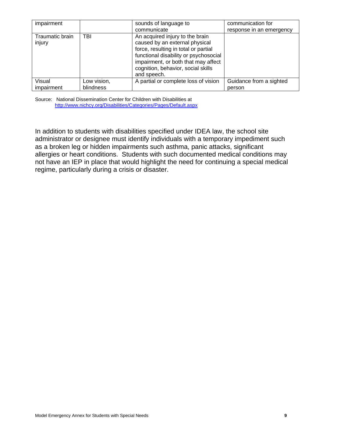| impairment                |             | sounds of language to<br>communicate                                                                                                                                                                                                           | communication for<br>response in an emergency |
|---------------------------|-------------|------------------------------------------------------------------------------------------------------------------------------------------------------------------------------------------------------------------------------------------------|-----------------------------------------------|
| Traumatic brain<br>injury | TBI         | An acquired injury to the brain<br>caused by an external physical<br>force, resulting in total or partial<br>functional disability or psychosocial<br>impairment, or both that may affect<br>cognition, behavior, social skills<br>and speech. |                                               |
| Visual                    | Low vision, | A partial or complete loss of vision                                                                                                                                                                                                           | Guidance from a sighted                       |
| impairment                | blindness   |                                                                                                                                                                                                                                                | person                                        |

Source: National Dissemination Center for Children with Disabilities at http://www.nichcy.org/Disabilities/Categories/Pages/Default.aspx

In addition to students with disabilities specified under IDEA law, the school site administrator or designee must identify individuals with a temporary impediment such as a broken leg or hidden impairments such asthma, panic attacks, significant allergies or heart conditions. Students with such documented medical conditions may not have an IEP in place that would highlight the need for continuing a special medical regime, particularly during a crisis or disaster.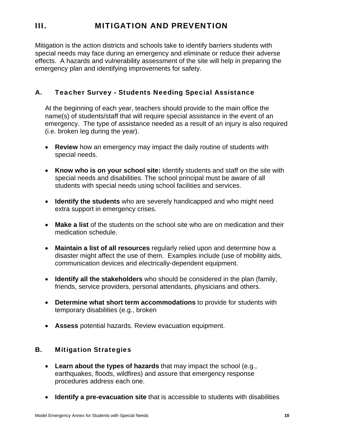# III. MITIGATION AND PREVENTION

Mitigation is the action districts and schools take to identify barriers students with special needs may face during an emergency and eliminate or reduce their adverse effects. A hazards and vulnerability assessment of the site will help in preparing the emergency plan and identifying improvements for safety.

### A. Teacher Survey - Students Needing Special Assistance

At the beginning of each year, teachers should provide to the main office the name(s) of students/staff that will require special assistance in the event of an emergency. The type of assistance needed as a result of an injury is also required (i.e. broken leg during the year).

- **Review** how an emergency may impact the daily routine of students with special needs.
- **Know who is on your school site:** Identify students and staff on the site with special needs and disabilities. The school principal must be aware of all students with special needs using school facilities and services.
- **Identify the students** who are severely handicapped and who might need extra support in emergency crises.
- **Make a list** of the students on the school site who are on medication and their medication schedule.
- **Maintain a list of all resources** regularly relied upon and determine how a disaster might affect the use of them. Examples include (use of mobility aids, communication devices and electrically-dependent equipment.
- **Identify all the stakeholders** who should be considered in the plan (family, friends, service providers, personal attendants, physicians and others.
- **Determine what short term accommodations** to provide for students with temporary disabilities (e.g., broken
- **Assess** potential hazards. Review evacuation equipment.

### B. Mitigation Strategies

- **Learn about the types of hazards** that may impact the school (e.g., earthquakes, floods, wildfires) and assure that emergency response procedures address each one.
- **Identify a pre-evacuation site** that is accessible to students with disabilities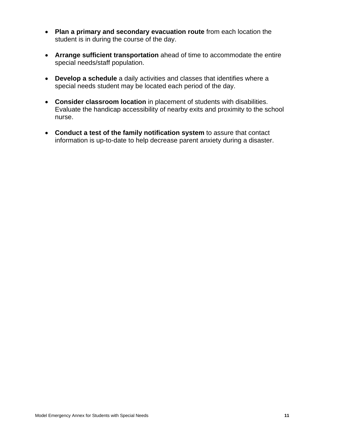- **Plan a primary and secondary evacuation route** from each location the student is in during the course of the day.
- **Arrange sufficient transportation** ahead of time to accommodate the entire special needs/staff population.
- **Develop a schedule** a daily activities and classes that identifies where a special needs student may be located each period of the day.
- **Consider classroom location** in placement of students with disabilities. Evaluate the handicap accessibility of nearby exits and proximity to the school nurse.
- **Conduct a test of the family notification system** to assure that contact information is up-to-date to help decrease parent anxiety during a disaster.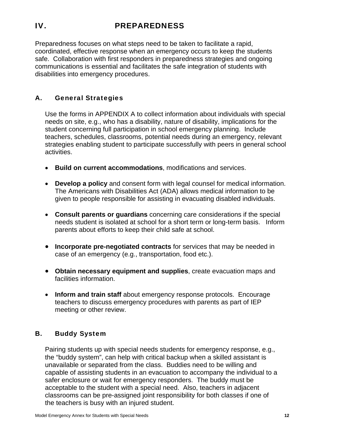# IV. PREPAREDNESS

Preparedness focuses on what steps need to be taken to facilitate a rapid, coordinated, effective response when an emergency occurs to keep the students safe. Collaboration with first responders in preparedness strategies and ongoing communications is essential and facilitates the safe integration of students with disabilities into emergency procedures.

### A. General Strategies

Use the forms in APPENDIX A to collect information about individuals with special needs on site, e.g., who has a disability, nature of disability, implications for the student concerning full participation in school emergency planning. Include teachers, schedules, classrooms, potential needs during an emergency, relevant strategies enabling student to participate successfully with peers in general school activities.

- **Build on current accommodations**, modifications and services.
- **Develop a policy** and consent form with legal counsel for medical information. The Americans with Disabilities Act (ADA) allows medical information to be given to people responsible for assisting in evacuating disabled individuals.
- **Consult parents or guardians** concerning care considerations if the special needs student is isolated at school for a short term or long-term basis. Inform parents about efforts to keep their child safe at school.
- **Incorporate pre-negotiated contracts** for services that may be needed in case of an emergency (e.g., transportation, food etc.).
- **Obtain necessary equipment and supplies**, create evacuation maps and facilities information.
- **Inform and train staff** about emergency response protocols. Encourage teachers to discuss emergency procedures with parents as part of IEP meeting or other review.

### B. Buddy System

Pairing students up with special needs students for emergency response, e.g., the "buddy system", can help with critical backup when a skilled assistant is unavailable or separated from the class. Buddies need to be willing and capable of assisting students in an evacuation to accompany the individual to a safer enclosure or wait for emergency responders. The buddy must be acceptable to the student with a special need. Also, teachers in adjacent classrooms can be pre-assigned joint responsibility for both classes if one of the teachers is busy with an injured student.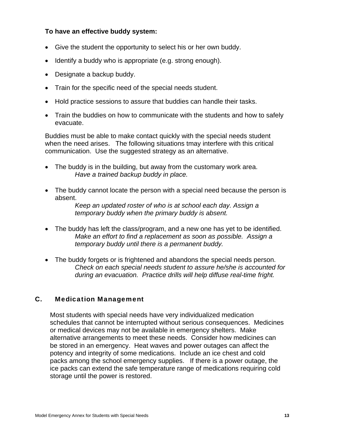### **To have an effective buddy system:**

- Give the student the opportunity to select his or her own buddy.
- Identify a buddy who is appropriate (e.g. strong enough).
- Designate a backup buddy.
- Train for the specific need of the special needs student.
- Hold practice sessions to assure that buddies can handle their tasks.
- Train the buddies on how to communicate with the students and how to safely evacuate.

Buddies must be able to make contact quickly with the special needs student when the need arises. The following situations tmay interfere with this critical communication. Use the suggested strategy as an alternative.

- The buddy is in the building, but away from the customary work area. *Have a trained backup buddy in place.*
- The buddy cannot locate the person with a special need because the person is absent.

*Keep an updated roster of who is at school each day. Assign a temporary buddy when the primary buddy is absent.* 

- The buddy has left the class/program, and a new one has yet to be identified. *Make an effort to find a replacement as soon as possible. Assign a temporary buddy until there is a permanent buddy.*
- The buddy forgets or is frightened and abandons the special needs person. *Check on each special needs student to assure he/she is accounted for during an evacuation. Practice drills will help diffuse real-time fright.*

### C. Medication Management

Most students with special needs have very individualized medication schedules that cannot be interrupted without serious consequences. Medicines or medical devices may not be available in emergency shelters. Make alternative arrangements to meet these needs. Consider how medicines can be stored in an emergency. Heat waves and power outages can affect the potency and integrity of some medications. Include an ice chest and cold packs among the school emergency supplies. If there is a power outage, the ice packs can extend the safe temperature range of medications requiring cold storage until the power is restored.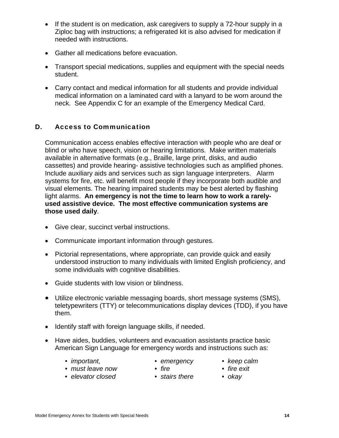- If the student is on medication, ask caregivers to supply a 72-hour supply in a Ziploc bag with instructions; a refrigerated kit is also advised for medication if needed with instructions.
- Gather all medications before evacuation.
- Transport special medications, supplies and equipment with the special needs student.
- Carry contact and medical information for all students and provide individual medical information on a laminated card with a lanyard to be worn around the neck. See Appendix C for an example of the Emergency Medical Card.

### D. Access to Communication

Communication access enables effective interaction with people who are deaf or blind or who have speech, vision or hearing limitations. Make written materials available in alternative formats (e.g., Braille, large print, disks, and audio cassettes) and provide hearing- assistive technologies such as amplified phones. Include auxiliary aids and services such as sign language interpreters. Alarm systems for fire, etc. will benefit most people if they incorporate both audible and visual elements. The hearing impaired students may be best alerted by flashing light alarms. **An emergency is not the time to learn how to work a rarelyused assistive device. The most effective communication systems are those used daily**.

- Give clear, succinct verbal instructions.
- Communicate important information through gestures.
- Pictorial representations, where appropriate, can provide quick and easily understood instruction to many individuals with limited English proficiency, and some individuals with cognitive disabilities.
- Guide students with low vision or blindness.
- Utilize electronic variable messaging boards, short message systems (SMS), teletypewriters (TTY) or telecommunications display devices (TDD), if you have them.
- Identify staff with foreign language skills, if needed.
- Have aides, buddies, volunteers and evacuation assistants practice basic American Sign Language for emergency words and instructions such as:
	-
	- *important, emergency keep calm* 
		-
	- must leave now fire  **fire fire fire exit** 
		- $\bullet$  *fire*
- 
- *elevator closed stairs there okay* 
	-
-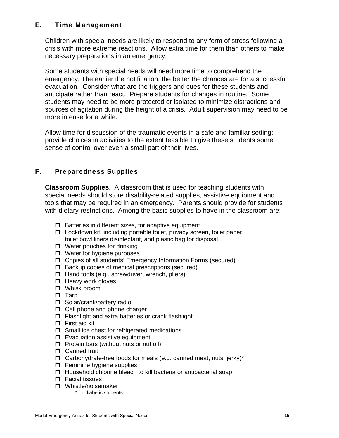### E. Time Management

Children with special needs are likely to respond to any form of stress following a crisis with more extreme reactions. Allow extra time for them than others to make necessary preparations in an emergency.

Some students with special needs will need more time to comprehend the emergency. The earlier the notification, the better the chances are for a successful evacuation. Consider what are the triggers and cues for these students and anticipate rather than react. Prepare students for changes in routine. Some students may need to be more protected or isolated to minimize distractions and sources of agitation during the height of a crisis. Adult supervision may need to be more intense for a while.

Allow time for discussion of the traumatic events in a safe and familiar setting; provide choices in activities to the extent feasible to give these students some sense of control over even a small part of their lives.

### F. Preparedness Supplies

**Classroom Supplies**. A classroom that is used for teaching students with special needs should store disability-related supplies, assistive equipment and tools that may be required in an emergency. Parents should provide for students with dietary restrictions. Among the basic supplies to have in the classroom are:

- $\Box$  Batteries in different sizes, for adaptive equipment
- $\Box$  Lockdown kit, including portable toilet, privacy screen, toilet paper, toilet bowl liners disinfectant, and plastic bag for disposal
- $\Box$  Water pouches for drinking
- □ Water for hygiene purposes
- Copies of all students' Emergency Information Forms (secured)
- $\Box$  Backup copies of medical prescriptions (secured)
- $\Box$  Hand tools (e.g., screwdriver, wrench, pliers)
- $\Box$  Heavy work gloves
- □ Whisk broom
- $\Box$  Tarp
- Solar/crank/battery radio
- $\Box$  Cell phone and phone charger
- $\Box$  Flashlight and extra batteries or crank flashlight
- $\Box$  First aid kit
- $\Box$  Small ice chest for refrigerated medications
- $\square$  Evacuation assistive equipment
- $\Box$  Protein bars (without nuts or nut oil)
- **D** Canned fruit
- $\Box$  Carbohydrate-free foods for meals (e.g. canned meat, nuts, jerky)\*
- $\Box$  Feminine hygiene supplies
- $\Box$  Household chlorine bleach to kill bacteria or antibacterial soap
- □ Facial tissues
- $\Box$  Whistle/noisemaker<br>\* for diabetic students
	-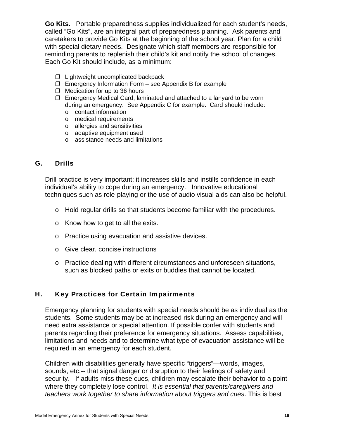**Go Kits.** Portable preparedness supplies individualized for each student's needs, called "Go Kits", are an integral part of preparedness planning. Ask parents and caretakers to provide Go Kits at the beginning of the school year. Plan for a child with special dietary needs. Designate which staff members are responsible for reminding parents to replenish their child's kit and notify the school of changes. Each Go Kit should include, as a minimum:

- $\Box$  Lightweight uncomplicated backpack
- $\Box$  Emergency Information Form see Appendix B for example
- $\Box$  Medication for up to 36 hours
- $\Box$  Emergency Medical Card, laminated and attached to a lanyard to be worn during an emergency. See Appendix C for example. Card should include:
	- o contact information
	- o medical requirements
	- o allergies and sensitivities
	- o adaptive equipment used
	- o assistance needs and limitations

### G. Drills

Drill practice is very important; it increases skills and instills confidence in each individual's ability to cope during an emergency. Innovative educational techniques such as role-playing or the use of audio visual aids can also be helpful.

- o Hold regular drills so that students become familiar with the procedures.
- o Know how to get to all the exits.
- o Practice using evacuation and assistive devices.
- o Give clear, concise instructions
- o Practice dealing with different circumstances and unforeseen situations, such as blocked paths or exits or buddies that cannot be located.

### H. Key Practices for Certain Impairments

Emergency planning for students with special needs should be as individual as the students. Some students may be at increased risk during an emergency and will need extra assistance or special attention. If possible confer with students and parents regarding their preference for emergency situations. Assess capabilities, limitations and needs and to determine what type of evacuation assistance will be required in an emergency for each student.

Children with disabilities generally have specific "triggers"—words, images, sounds, etc.-- that signal danger or disruption to their feelings of safety and security. If adults miss these cues, children may escalate their behavior to a point where they completely lose control. *It is essential that parents/caregivers and teachers work together to share information about triggers and cues*. This is best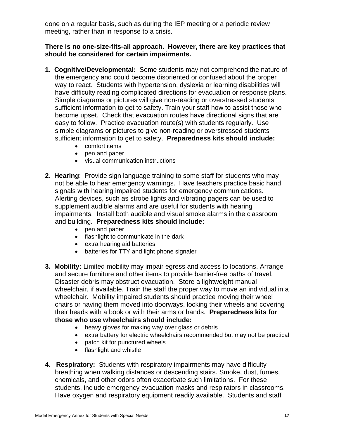done on a regular basis, such as during the IEP meeting or a periodic review meeting, rather than in response to a crisis.

### **There is no one-size-fits-all approach. However, there are key practices that should be considered for certain impairments.**

- **1. Cognitive/Developmental:** Some students may not comprehend the nature of the emergency and could become disoriented or confused about the proper way to react. Students with hypertension, dyslexia or learning disabilities will have difficulty reading complicated directions for evacuation or response plans. Simple diagrams or pictures will give non-reading or overstressed students sufficient information to get to safety. Train your staff how to assist those who become upset. Check that evacuation routes have directional signs that are easy to follow. Practice evacuation route(s) with students regularly. Use simple diagrams or pictures to give non-reading or overstressed students sufficient information to get to safety. **Preparedness kits should include:** 
	- comfort items
	- pen and paper
	- visual communication instructions
- **2. Hearing**: Provide sign language training to some staff for students who may not be able to hear emergency warnings. Have teachers practice basic hand signals with hearing impaired students for emergency communications. Alerting devices, such as strobe lights and vibrating pagers can be used to supplement audible alarms and are useful for students with hearing impairments. Install both audible and visual smoke alarms in the classroom and building. **Preparedness kits should include:** 
	- pen and paper
	- flashlight to communicate in the dark
	- extra hearing aid batteries
	- batteries for TTY and light phone signaler
- **3. Mobility:** Limited mobility may impair egress and access to locations. Arrange and secure furniture and other items to provide barrier-free paths of travel. Disaster debris may obstruct evacuation. Store a lightweight manual wheelchair, if available. Train the staff the proper way to move an individual in a wheelchair. Mobility impaired students should practice moving their wheel chairs or having them moved into doorways, locking their wheels and covering their heads with a book or with their arms or hands. **Preparedness kits for those who use wheelchairs should include:** 
	- heavy gloves for making way over glass or debris
	- extra battery for electric wheelchairs recommended but may not be practical
	- patch kit for punctured wheels
	- flashlight and whistle
- **4. Respiratory:** Students with respiratory impairments may have difficulty breathing when walking distances or descending stairs. Smoke, dust, fumes, chemicals, and other odors often exacerbate such limitations. For these students, include emergency evacuation masks and respirators in classrooms. Have oxygen and respiratory equipment readily available. Students and staff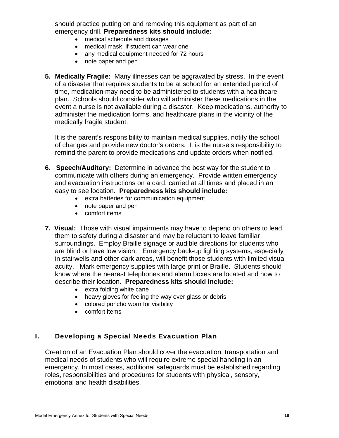should practice putting on and removing this equipment as part of an emergency drill. **Preparedness kits should include:** 

- medical schedule and dosages
- medical mask, if student can wear one
- any medical equipment needed for 72 hours
- note paper and pen
- **5. Medically Fragile:** Many illnesses can be aggravated by stress. In the event of a disaster that requires students to be at school for an extended period of time, medication may need to be administered to students with a healthcare plan. Schools should consider who will administer these medications in the event a nurse is not available during a disaster. Keep medications, authority to administer the medication forms, and healthcare plans in the vicinity of the medically fragile student.

It is the parent's responsibility to maintain medical supplies, notify the school of changes and provide new doctor's orders. It is the nurse's responsibility to remind the parent to provide medications and update orders when notified.

- **6. Speech/Auditory:** Determine in advance the best way for the student to communicate with others during an emergency. Provide written emergency and evacuation instructions on a card, carried at all times and placed in an easy to see location. **Preparedness kits should include:** 
	- extra batteries for communication equipment
	- note paper and pen
	- comfort items
- describe their location. **Preparedness kits should include: 7. Visual:** Those with visual impairments may have to depend on others to lead them to safety during a disaster and may be reluctant to leave familiar surroundings. Employ Braille signage or audible directions for students who are blind or have low vision. Emergency back-up lighting systems, especially in stairwells and other dark areas, will benefit those students with limited visual acuity. Mark emergency supplies with large print or Braille. Students should know where the nearest telephones and alarm boxes are located and how to
	- extra folding white cane
	- heavy gloves for feeling the way over glass or debris
	- colored poncho worn for visibility
	- comfort items

### I. Developing a Special Needs Evacuation Plan

Creation of an Evacuation Plan should cover the evacuation, transportation and medical needs of students who will require extreme special handling in an emergency. In most cases, additional safeguards must be established regarding roles, responsibilities and procedures for students with physical, sensory, emotional and health disabilities.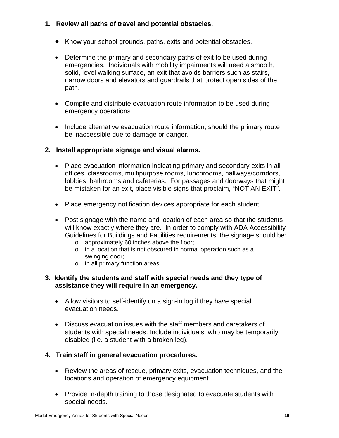### **1. Review all paths of travel and potential obstacles.**

- Know your school grounds, paths, exits and potential obstacles.
- Determine the primary and secondary paths of exit to be used during emergencies. Individuals with mobility impairments will need a smooth, solid, level walking surface, an exit that avoids barriers such as stairs, narrow doors and elevators and guardrails that protect open sides of the path.
- Compile and distribute evacuation route information to be used during emergency operations
- Include alternative evacuation route information, should the primary route be inaccessible due to damage or danger.

### **2. Install appropriate signage and visual alarms.**

- Place evacuation information indicating primary and secondary exits in all offices, classrooms, multipurpose rooms, lunchrooms, hallways/corridors, lobbies, bathrooms and cafeterias. For passages and doorways that might be mistaken for an exit, place visible signs that proclaim, "NOT AN EXIT".
- Place emergency notification devices appropriate for each student.
- Post signage with the name and location of each area so that the students will know exactly where they are. In order to comply with ADA Accessibility Guidelines for Buildings and Facilities requirements, the signage should be:
	- o approximately 60 inches above the floor;
	- o in a location that is not obscured in normal operation such as a swinging door;
	- o in all primary function areas

### **3. Identify the students and staff with special needs and they type of assistance they will require in an emergency.**

- Allow visitors to self-identify on a sign-in log if they have special evacuation needs.
- Discuss evacuation issues with the staff members and caretakers of students with special needs. Include individuals, who may be temporarily disabled (i.e. a student with a broken leg).

### **4. Train staff in general evacuation procedures.**

- Review the areas of rescue, primary exits, evacuation techniques, and the locations and operation of emergency equipment.
- Provide in-depth training to those designated to evacuate students with special needs.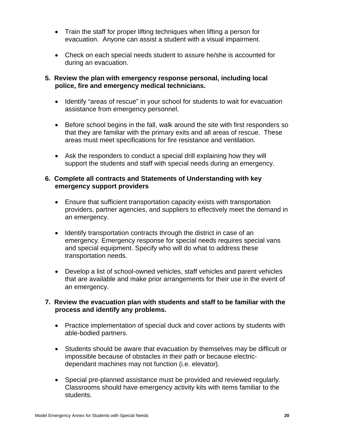- Train the staff for proper lifting techniques when lifting a person for evacuation. Anyone can assist a student with a visual impairment.
- Check on each special needs student to assure he/she is accounted for during an evacuation.

### **5. Review the plan with emergency response personal, including local police, fire and emergency medical technicians.**

- Identify "areas of rescue" in your school for students to wait for evacuation assistance from emergency personnel.
- Before school begins in the fall, walk around the site with first responders so that they are familiar with the primary exits and all areas of rescue. These areas must meet specifications for fire resistance and ventilation.
- Ask the responders to conduct a special drill explaining how they will support the students and staff with special needs during an emergency.

### **6. Complete all contracts and Statements of Understanding with key emergency support providers**

- Ensure that sufficient transportation capacity exists with transportation providers, partner agencies, and suppliers to effectively meet the demand in an emergency.
- Identify transportation contracts through the district in case of an emergency. Emergency response for special needs requires special vans and special equipment. Specify who will do what to address these transportation needs.
- Develop a list of school-owned vehicles, staff vehicles and parent vehicles that are available and make prior arrangements for their use in the event of an emergency.

### **7. Review the evacuation plan with students and staff to be familiar with the process and identify any problems.**

- Practice implementation of special duck and cover actions by students with able-bodied partners.
- Students should be aware that evacuation by themselves may be difficult or impossible because of obstacles in their path or because electricdependant machines may not function (i.e. elevator).
- Special pre-planned assistance must be provided and reviewed regularly. Classrooms should have emergency activity kits with items familiar to the students.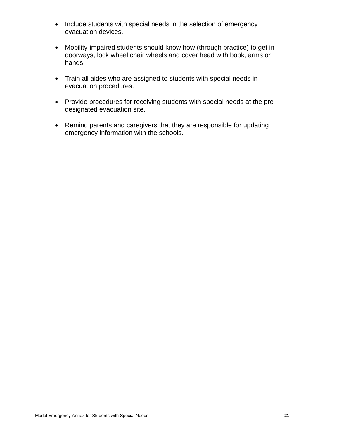- Include students with special needs in the selection of emergency evacuation devices.
- Mobility-impaired students should know how (through practice) to get in doorways, lock wheel chair wheels and cover head with book, arms or hands.
- Train all aides who are assigned to students with special needs in evacuation procedures.
- Provide procedures for receiving students with special needs at the predesignated evacuation site.
- Remind parents and caregivers that they are responsible for updating emergency information with the schools.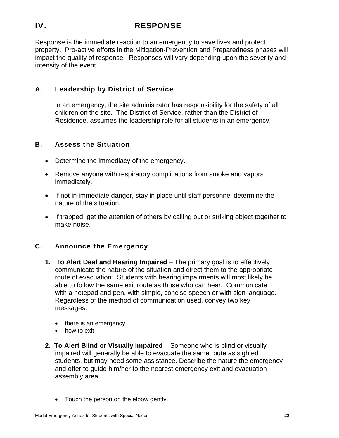### IV. RESPONSE

Response is the immediate reaction to an emergency to save lives and protect property. Pro-active efforts in the Mitigation-Prevention and Preparedness phases will impact the quality of response. Responses will vary depending upon the severity and intensity of the event.

### A. Leadership by District of Service

In an emergency, the site administrator has responsibility for the safety of all children on the site. The District of Service, rather than the District of Residence, assumes the leadership role for all students in an emergency.

### B. Assess the Situation

- Determine the immediacy of the emergency.
- Remove anyone with respiratory complications from smoke and vapors immediately.
- If not in immediate danger, stay in place until staff personnel determine the nature of the situation.
- If trapped, get the attention of others by calling out or striking object together to make noise.

### C. Announce the Emergency

- **1. To Alert Deaf and Hearing Impaired** The primary goal is to effectively communicate the nature of the situation and direct them to the appropriate route of evacuation. Students with hearing impairments will most likely be able to follow the same exit route as those who can hear. Communicate with a notepad and pen, with simple, concise speech or with sign language. Regardless of the method of communication used, convey two key messages:
	- there is an emergency
	- how to exit
- **2. To Alert Blind or Visually Impaired**  Someone who is blind or visually impaired will generally be able to evacuate the same route as sighted students, but may need some assistance. Describe the nature the emergency and offer to guide him/her to the nearest emergency exit and evacuation assembly area.
	- Touch the person on the elbow gently.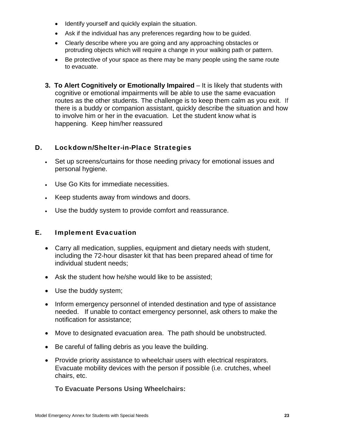- Identify yourself and quickly explain the situation.
- Ask if the individual has any preferences regarding how to be guided.
- Clearly describe where you are going and any approaching obstacles or protruding objects which will require a change in your walking path or pattern.
- Be protective of your space as there may be many people using the same route to evacuate.
- routes as the other students. The challenge is to keep them calm as you exit. If **3. To Alert Cognitively or Emotionally Impaired** – It is likely that students with cognitive or emotional impairments will be able to use the same evacuation there is a buddy or companion assistant, quickly describe the situation and how to involve him or her in the evacuation. Let the student know what is happening. Keep him/her reassured

### D. Lockdown/Shelter-in-Place Strategies

- Set up screens/curtains for those needing privacy for emotional issues and personal hygiene.
- Use Go Kits for immediate necessities.
- Keep students away from windows and doors.
- Use the buddy system to provide comfort and reassurance.

### E. Implement Evacuation

- Carry all medication, supplies, equipment and dietary needs with student, including the 72-hour disaster kit that has been prepared ahead of time for individual student needs;
- Ask the student how he/she would like to be assisted;
- Use the buddy system;
- Inform emergency personnel of intended destination and type of assistance needed. If unable to contact emergency personnel, ask others to make the notification for assistance;
- Move to designated evacuation area. The path should be unobstructed.
- Be careful of falling debris as you leave the building.
- Provide priority assistance to wheelchair users with electrical respirators. Evacuate mobility devices with the person if possible (i.e. crutches, wheel chairs, etc.

**To Evacuate Persons Using Wheelchairs:**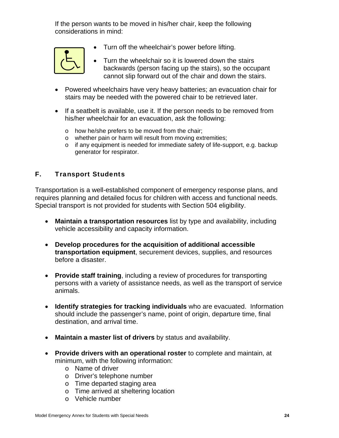If the person wants to be moved in his/her chair, keep the following considerations in mind:



- Turn off the wheelchair's power before lifting.
- Turn the wheelchair so it is lowered down the stairs backwards (person facing up the stairs), so the occupant cannot slip forward out of the chair and down the stairs.
- Powered wheelchairs have very heavy batteries; an evacuation chair for stairs may be needed with the powered chair to be retrieved later.
- If a seatbelt is available, use it. If the person needs to be removed from his/her wheelchair for an evacuation, ask the following:
	- o how he/she prefers to be moved from the chair;
	- o whether pain or harm will result from moving extremities;
	- o if any equipment is needed for immediate safety of life-support, e.g. backup generator for respirator.

### F. Transport Students

Transportation is a well-established component of emergency response plans, and requires planning and detailed focus for children with access and functional needs. Special transport is not provided for students with Section 504 eligibility.

- **Maintain a transportation resources** list by type and availability, including vehicle accessibility and capacity information.
- **Develop procedures for the acquisition of additional accessible transportation equipment**, securement devices, supplies, and resources before a disaster.
- **Provide staff training**, including a review of procedures for transporting persons with a variety of assistance needs, as well as the transport of service animals.
- **Identify strategies for tracking individuals** who are evacuated. Information should include the passenger's name, point of origin, departure time, final destination, and arrival time.
- **Maintain a master list of drivers** by status and availability.
- **Provide drivers with an operational roster** to complete and maintain, at minimum, with the following information:
	- o Name of driver
	- o Driver's telephone number
	- o Time departed staging area
	- o Time arrived at sheltering location
	- o Vehicle number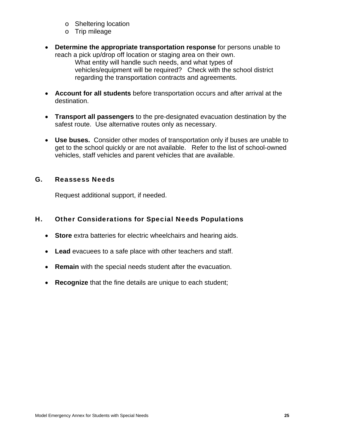- o Sheltering location
- o Trip mileage
- **Determine the appropriate transportation response** for persons unable to reach a pick up/drop off location or staging area on their own.

What entity will handle such needs, and what types of vehicles/equipment will be required? Check with the school district regarding the transportation contracts and agreements.

- **Account for all students** before transportation occurs and after arrival at the destination.
- **Transport all passengers** to the pre-designated evacuation destination by the safest route. Use alternative routes only as necessary.
- **Use buses.** Consider other modes of transportation only if buses are unable to get to the school quickly or are not available. Refer to the list of school-owned vehicles, staff vehicles and parent vehicles that are available.

### G. Reassess Needs

Request additional support, if needed.

### H. Other Considerations for Special Needs Populations

- **Store** extra batteries for electric wheelchairs and hearing aids.
- **Lead** evacuees to a safe place with other teachers and staff.
- **Remain** with the special needs student after the evacuation.
- **Recognize** that the fine details are unique to each student;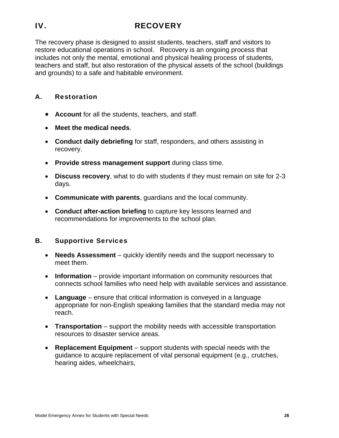## IV. RECOVERY

The recovery phase is designed to assist students, teachers, staff and visitors to restore educational operations in school. Recovery is an ongoing process that includes not only the mental, emotional and physical healing process of students, teachers and staff, but also restoration of the physical assets of the school (buildings and grounds) to a safe and habitable environment.

### A. Restoration

- **Account** for all the students, teachers, and staff.
- **Meet the medical needs**.
- **Conduct daily debriefing** for staff, responders, and others assisting in recovery.
- **Provide stress management support** during class time.
- **Discuss recovery**, what to do with students if they must remain on site for 2-3 days.
- **Communicate with parents**, guardians and the local community.
- **Conduct after-action briefing** to capture key lessons learned and recommendations for improvements to the school plan.

### B. Supportive Services

- **Needs Assessment** quickly identify needs and the support necessary to meet them.
- **Information** provide important information on community resources that connects school families who need help with available services and assistance.
- **Language**  ensure that critical information is conveyed in a language appropriate for non-English speaking families that the standard media may not reach.
- **Transportation** support the mobility needs with accessible transportation resources to disaster service areas.
- **Replacement Equipment** support students with special needs with the guidance to acquire replacement of vital personal equipment (e.g., crutches, hearing aides, wheelchairs,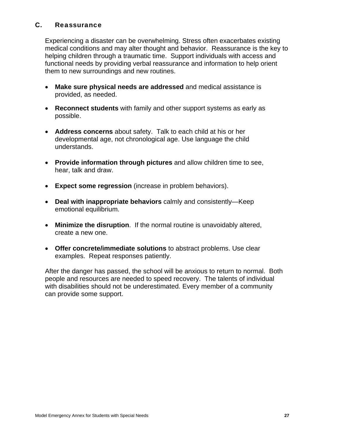### C. Reassurance

Experiencing a disaster can be overwhelming. Stress often exacerbates existing medical conditions and may alter thought and behavior. Reassurance is the key to helping children through a traumatic time. Support individuals with access and functional needs by providing verbal reassurance and information to help orient them to new surroundings and new routines.

- **Make sure physical needs are addressed** and medical assistance is provided, as needed.
- **Reconnect students** with family and other support systems as early as possible.
- **Address concerns** about safety. Talk to each child at his or her developmental age, not chronological age. Use language the child understands.
- **Provide information through pictures** and allow children time to see, hear, talk and draw.
- **Expect some regression** (increase in problem behaviors).
- emotional equilibrium. **Deal with inappropriate behaviors** calmly and consistently—Keep
- **Minimize the disruption**. If the normal routine is unavoidably altered, create a new one.
- **Offer concrete/immediate solutions** to abstract problems. Use clear examples. Repeat responses patiently.

After the danger has passed, the school will be anxious to return to normal. Both people and resources are needed to speed recovery. The talents of individual with disabilities should not be underestimated. Every member of a community can provide some support.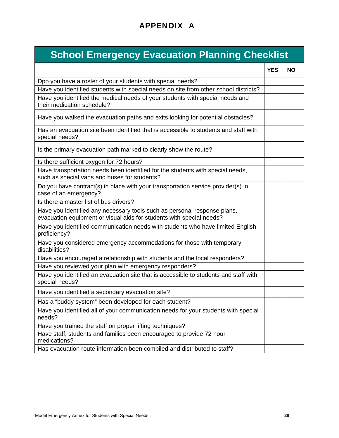# APPENDIX A

# **School Emergency Evacuation Planning Checklist**

|                                                                                                                                                  | <b>YES</b> | <b>NO</b> |
|--------------------------------------------------------------------------------------------------------------------------------------------------|------------|-----------|
| Dpo you have a roster of your students with special needs?                                                                                       |            |           |
| Have you identified students with special needs on site from other school districts?                                                             |            |           |
| Have you identified the medical needs of your students with special needs and<br>their medication schedule?                                      |            |           |
| Have you walked the evacuation paths and exits looking for potential obstacles?                                                                  |            |           |
| Has an evacuation site been identified that is accessible to students and staff with<br>special needs?                                           |            |           |
| Is the primary evacuation path marked to clearly show the route?                                                                                 |            |           |
| Is there sufficient oxygen for 72 hours?                                                                                                         |            |           |
| Have transportation needs been identified for the students with special needs,<br>such as special vans and buses for students?                   |            |           |
| Do you have contract(s) in place with your transportation service provider(s) in<br>case of an emergency?                                        |            |           |
| Is there a master list of bus drivers?                                                                                                           |            |           |
| Have you identified any necessary tools such as personal response plans,<br>evacuation equipment or visual aids for students with special needs? |            |           |
| Have you identified communication needs with students who have limited English<br>proficiency?                                                   |            |           |
| Have you considered emergency accommodations for those with temporary<br>disabilities?                                                           |            |           |
| Have you encouraged a relationship with students and the local responders?                                                                       |            |           |
| Have you reviewed your plan with emergency responders?                                                                                           |            |           |
| Have you identified an evacuation site that is accessible to students and staff with<br>special needs?                                           |            |           |
| Have you identified a secondary evacuation site?                                                                                                 |            |           |
| Has a "buddy system" been developed for each student?                                                                                            |            |           |
| Have you identified all of your communication needs for your students with special<br>needs?                                                     |            |           |
| Have you trained the staff on proper lifting techniques?                                                                                         |            |           |
| Have staff, students and families been encouraged to provide 72 hour<br>medications?                                                             |            |           |
| Has evacuation route information been compiled and distributed to staff?                                                                         |            |           |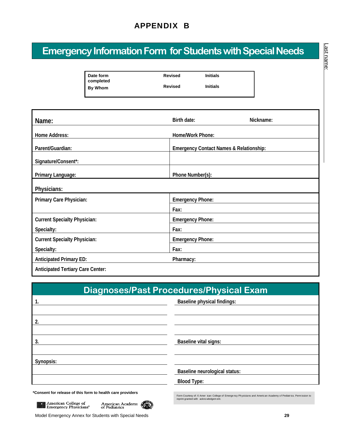# APPENDIX B

# **Emergency Information Form for Students with Special Needs**

| Date form<br>completed | <b>Revised</b> | <b>Initials</b> |
|------------------------|----------------|-----------------|
| By Whom                | <b>Revised</b> | <b>Initials</b> |
|                        |                |                 |

| Name:                                              | Birth date:<br>Nickname:                           |  |
|----------------------------------------------------|----------------------------------------------------|--|
| Home Address:                                      | Home/Work Phone:                                   |  |
| Parent/Guardian:                                   | <b>Emergency Contact Names &amp; Relationship:</b> |  |
| Signature/Consent*:                                |                                                    |  |
| Primary Language:                                  | Phone Number(s):                                   |  |
| Physicians:                                        |                                                    |  |
| Primary Care Physician:<br><b>Emergency Phone:</b> |                                                    |  |
|                                                    | Fax:                                               |  |
| <b>Current Specialty Physician:</b>                | <b>Emergency Phone:</b>                            |  |
| Specialty:                                         | Fax:                                               |  |
| <b>Current Specialty Physician:</b>                | <b>Emergency Phone:</b>                            |  |
| Specialty:                                         | Fax:                                               |  |
| <b>Anticipated Primary ED:</b>                     | Pharmacy:                                          |  |
| <b>Anticipated Tertiary Care Center:</b>           |                                                    |  |

| <b>Diagnoses/Past Procedures/Physical Exam</b>                                                                                                         |                                                                                                                                                           |  |
|--------------------------------------------------------------------------------------------------------------------------------------------------------|-----------------------------------------------------------------------------------------------------------------------------------------------------------|--|
| -1.                                                                                                                                                    | Baseline physical findings:                                                                                                                               |  |
|                                                                                                                                                        |                                                                                                                                                           |  |
| 2.                                                                                                                                                     |                                                                                                                                                           |  |
|                                                                                                                                                        |                                                                                                                                                           |  |
| 3.                                                                                                                                                     | Baseline vital signs:                                                                                                                                     |  |
|                                                                                                                                                        |                                                                                                                                                           |  |
| Synopsis:                                                                                                                                              |                                                                                                                                                           |  |
|                                                                                                                                                        | Baseline neurological status:                                                                                                                             |  |
|                                                                                                                                                        | <b>Blood Type:</b>                                                                                                                                        |  |
| *Consent for release of this form to health care providers<br>American College of<br>Emergency Physicians*<br><b>American Academy</b><br>of Pediatrics | Form Courtesy of: © Amer ican College of Emergency Physicians and American Academy of Pediatrics. Permission to<br>reprint granted with acknowledgem ent. |  |

Model Emergency Annex for Students with Special Needs **29**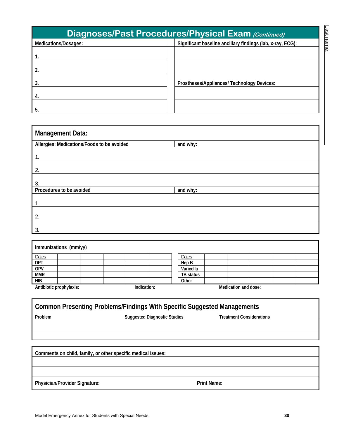| <b>Diagnoses/Past Procedures/Physical Exam (Continued)</b> |                                                            |  |  |
|------------------------------------------------------------|------------------------------------------------------------|--|--|
| Medications/Dosages:                                       | Significant baseline ancillary findings (lab, x-ray, ECG): |  |  |
|                                                            |                                                            |  |  |
|                                                            |                                                            |  |  |
| 3.                                                         | Prostheses/Appliances/ Technology Devices:                 |  |  |
| 4.                                                         |                                                            |  |  |
| 5.                                                         |                                                            |  |  |

| <b>Management Data:</b>                    |          |  |  |
|--------------------------------------------|----------|--|--|
| Allergies: Medications/Foods to be avoided | and why: |  |  |
| Ι.                                         |          |  |  |
| $\overline{2}$                             |          |  |  |
| 3                                          |          |  |  |
| Procedures to be avoided                   | and why: |  |  |
| 1.                                         |          |  |  |
| $\overline{2}$                             |          |  |  |
| 3                                          |          |  |  |

| Immunizations (mm/yy)   |             |                      |  |  |
|-------------------------|-------------|----------------------|--|--|
| Dates                   |             | Dates                |  |  |
| <b>DPT</b>              |             | Hep B                |  |  |
| <b>OPV</b>              |             | Varicella            |  |  |
| <b>MMR</b>              |             | TB status            |  |  |
| <b>HIB</b>              |             | Other                |  |  |
| Antibiotic prophylaxis: | Indication: | Medication and dose: |  |  |

| Common Presenting Problems/Findings With Specific Suggested Managements |                                     |                                 |  |  |
|-------------------------------------------------------------------------|-------------------------------------|---------------------------------|--|--|
| <b>Problem</b>                                                          | <b>Suggested Diagnostic Studies</b> | <b>Treatment Considerations</b> |  |  |
|                                                                         |                                     |                                 |  |  |
|                                                                         |                                     |                                 |  |  |

**Comments on child, family, or other specific medical issues:**  Physician/Provider Signature: **Print Name:** Print Name: Last name:

Last name: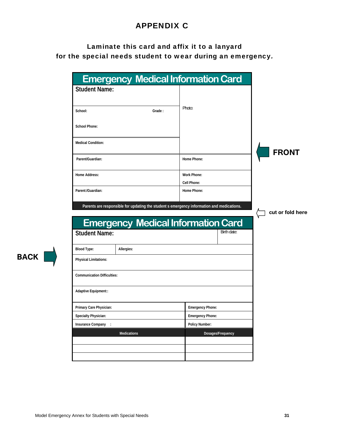# APPENDIX C

# Laminate this card and affix it to a lanyard for the special needs student to wear during an emergency.

| <b>Student Name:</b><br>Photo:<br>School:<br>Grade:<br><b>School Phone:</b><br><b>Medical Condition:</b><br><b>FRONT</b><br>Parent/Guardian:<br>Home Phone:<br><b>Work Phone:</b><br>Home Address:<br>Cell Phone:<br>Parent:/Guardian:<br>Home Phone:<br>Parents are responsible for updating the student s emergency information and medications.<br>cut or fold here<br><b>Emergency Medical Information Card</b><br>Birth date:<br><b>Student Name:</b><br><b>Blood Type:</b><br>Allergies:<br><b>Physical Limitations:</b><br><b>Communication Difficulties:</b><br>Adaptive Equipment::<br>Primary Care Physician:<br><b>Emergency Phone:</b><br>Specialty Physician:<br><b>Emergency Phone:</b><br><b>Policy Number:</b><br>Insurance Company :<br><b>Medications</b><br>Dosages/Frequency | <b>Emergency Medical Information Card</b> |  |  |  |
|--------------------------------------------------------------------------------------------------------------------------------------------------------------------------------------------------------------------------------------------------------------------------------------------------------------------------------------------------------------------------------------------------------------------------------------------------------------------------------------------------------------------------------------------------------------------------------------------------------------------------------------------------------------------------------------------------------------------------------------------------------------------------------------------------|-------------------------------------------|--|--|--|
|                                                                                                                                                                                                                                                                                                                                                                                                                                                                                                                                                                                                                                                                                                                                                                                                  |                                           |  |  |  |
|                                                                                                                                                                                                                                                                                                                                                                                                                                                                                                                                                                                                                                                                                                                                                                                                  |                                           |  |  |  |
|                                                                                                                                                                                                                                                                                                                                                                                                                                                                                                                                                                                                                                                                                                                                                                                                  |                                           |  |  |  |
|                                                                                                                                                                                                                                                                                                                                                                                                                                                                                                                                                                                                                                                                                                                                                                                                  |                                           |  |  |  |
|                                                                                                                                                                                                                                                                                                                                                                                                                                                                                                                                                                                                                                                                                                                                                                                                  |                                           |  |  |  |
|                                                                                                                                                                                                                                                                                                                                                                                                                                                                                                                                                                                                                                                                                                                                                                                                  |                                           |  |  |  |
|                                                                                                                                                                                                                                                                                                                                                                                                                                                                                                                                                                                                                                                                                                                                                                                                  |                                           |  |  |  |
|                                                                                                                                                                                                                                                                                                                                                                                                                                                                                                                                                                                                                                                                                                                                                                                                  |                                           |  |  |  |
|                                                                                                                                                                                                                                                                                                                                                                                                                                                                                                                                                                                                                                                                                                                                                                                                  |                                           |  |  |  |
|                                                                                                                                                                                                                                                                                                                                                                                                                                                                                                                                                                                                                                                                                                                                                                                                  |                                           |  |  |  |
|                                                                                                                                                                                                                                                                                                                                                                                                                                                                                                                                                                                                                                                                                                                                                                                                  |                                           |  |  |  |
|                                                                                                                                                                                                                                                                                                                                                                                                                                                                                                                                                                                                                                                                                                                                                                                                  |                                           |  |  |  |
|                                                                                                                                                                                                                                                                                                                                                                                                                                                                                                                                                                                                                                                                                                                                                                                                  |                                           |  |  |  |
|                                                                                                                                                                                                                                                                                                                                                                                                                                                                                                                                                                                                                                                                                                                                                                                                  |                                           |  |  |  |
|                                                                                                                                                                                                                                                                                                                                                                                                                                                                                                                                                                                                                                                                                                                                                                                                  |                                           |  |  |  |
|                                                                                                                                                                                                                                                                                                                                                                                                                                                                                                                                                                                                                                                                                                                                                                                                  |                                           |  |  |  |
|                                                                                                                                                                                                                                                                                                                                                                                                                                                                                                                                                                                                                                                                                                                                                                                                  |                                           |  |  |  |
|                                                                                                                                                                                                                                                                                                                                                                                                                                                                                                                                                                                                                                                                                                                                                                                                  |                                           |  |  |  |
|                                                                                                                                                                                                                                                                                                                                                                                                                                                                                                                                                                                                                                                                                                                                                                                                  |                                           |  |  |  |
|                                                                                                                                                                                                                                                                                                                                                                                                                                                                                                                                                                                                                                                                                                                                                                                                  |                                           |  |  |  |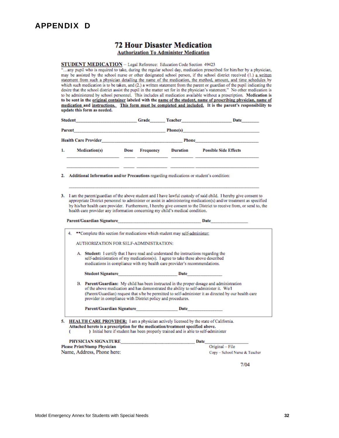### APPENDIX D

## **72 Hour Disaster Medication**

**Authorization To Administer Medication** 

STUDENT MEDICATION - Legal Reference: Education Code Section 49423

... any pupil who is required to take, during the regular school day, medication prescribed for him/her by a physician, may be assisted by the school nurse or other designated school person, if the school district received (1.) a written statement from such a physician detailing the name of the medication, the method, amount, and time schedules by which such medication is to be taken, and (2.) a written statement from the parent or guardian of the pupil indicating the desire that the school district assist the pupil in the matter set for in the physician's statement." No other medication is to be administered by school personnel. This includes all medication available without a prescription. Medication is to be sent in the original container labeled with the name of the student, name of prescribing physician, name of medication and instructions. This form must be completed and included. It is the parent's responsibility to update this form as needed.

| <b>Student</b>              |                                                                                           |      | Grade     | Teacher  | Date                                                                                                            |
|-----------------------------|-------------------------------------------------------------------------------------------|------|-----------|----------|-----------------------------------------------------------------------------------------------------------------|
| Parent                      | the control of the control of the control of the control of the control of the control of |      |           | Phone(s) | the contract of the contract of the contract of the contract of the contract of the contract of the contract of |
| <b>Health Care Provider</b> |                                                                                           |      |           | Phone    |                                                                                                                 |
| 1.                          | Medication(s)                                                                             | Dose | Frequency | Duration | <b>Possible Side Effects</b>                                                                                    |
|                             |                                                                                           |      |           |          |                                                                                                                 |

- 2. Additional Information and/or Precautions regarding medications or student's condition:
- 3. I am the parent/guardian of the above student and I have lawful custody of said child. I hereby give consent to appropriate District personnel to administer or assist in administering medication(s) and/or treatment as specified by his/her health care provider. Furthermore, I hereby give consent to the District to receive from, or send to, the health care provider any information concerning my child's medical condition.

Date

|  | <b>AUTHORIZATION FOR SELF-ADMINISTRATION:</b>                                                                                                                                                                                                        |
|--|------------------------------------------------------------------------------------------------------------------------------------------------------------------------------------------------------------------------------------------------------|
|  | A. Student: I certify that I have read and understand the instructions regarding the<br>self-administration of my medications(s). I agree to take these above described<br>medications in compliance with my health care provider's recommendations. |
|  | Student Signature <b>Student Signature</b><br>Date                                                                                                                                                                                                   |
|  | B. Parent/Guardian: My child has been instructed in the proper dosage and administration<br>of the above medication and has demonstrated the ability to self-administer it. We/I                                                                     |
|  | (Parent/Guardian) request that s/he be permitted to self-administer it as directed by our health care<br>provider in compliance with District policy and procedures.                                                                                 |
|  | Parent/Guardian Signature<br><b>Date</b>                                                                                                                                                                                                             |

) Initial here if student has been properly trained and is able to self-administer

| <b>PHYSICIAN SIGNATURE</b>          | Date |
|-------------------------------------|------|
| <b>Please Print/Stamp Physician</b> |      |
| Name, Address, Phone here:          |      |

Original - File Copy - School Nurse & Teacher

 $7/04$ 

c

Parent/Guardian Signature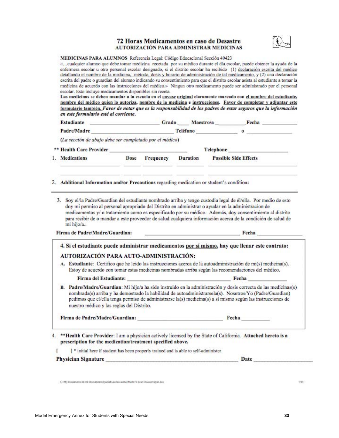### 72 Horas Medicamentos en caso de Desastre AUTORIZACIÓN PARA ADMINISTRAR MEDICINAS



### MEDICINAS PARA ALUMNOS Referencia Legal: Código Educacional Sección 49423

«... cualquier alumno que debe tomar medicina recetada por su médico durante el día escolar, puede obtener la ayuda de la enfermera escolar u otro personal escolar designado, si el distrito escolar ha recibido (1) declaración escrita del médico detallando el nombre de la medicina, método, dosis y horario de administración de tal medicamento, y (2) una declaración escrita del padre o guardian del alumno indicando su consentimiento para que el distrito escolar asista al estudiante a tomar la medicina de acuerdo con las instrucciones del médico.» Ningun otro medicamento puede ser administrado por el personal escolar. Esto incluye medicamentos disponibles sin receta.

Las medicinas se deben mandar a la escuela en el envase original claramente marcado con el nombre del estudiante, nombre del médico quien lo autoriza, nombre de la medicina e instrucciones. Favor de completar y adjuntar este formulario también. Favor de notar que es la responsabilidad de los padres de estar seguros que la información en este formulario esté al corriente.

| <b>Estudiante</b>                                                                                                                                                                                                                  | Grado Maestro/a Fecha   |  |                                                                                                                                                                                                                                                                                                                                      |  |
|------------------------------------------------------------------------------------------------------------------------------------------------------------------------------------------------------------------------------------|-------------------------|--|--------------------------------------------------------------------------------------------------------------------------------------------------------------------------------------------------------------------------------------------------------------------------------------------------------------------------------------|--|
|                                                                                                                                                                                                                                    |                         |  | Padre/Madre reléfono o control de la contrada de la contrada de la contrada de la contrada de la contrada de l                                                                                                                                                                                                                       |  |
| (La sección de abajo debe ser completado por el médico)                                                                                                                                                                            |                         |  |                                                                                                                                                                                                                                                                                                                                      |  |
|                                                                                                                                                                                                                                    |                         |  | Telephone                                                                                                                                                                                                                                                                                                                            |  |
| 1. Medications                                                                                                                                                                                                                     | Dose Frequency Duration |  | <b>Possible Side Effects</b>                                                                                                                                                                                                                                                                                                         |  |
| 2. Additional Information and/or Precautions regarding medication or student's condition:                                                                                                                                          |                         |  |                                                                                                                                                                                                                                                                                                                                      |  |
| 3. Soy el/la Padre/Guardian del estudiante nombrado arriba y tengo custodia legal de él/ella. Por medio de esto<br>doy mi permiso al personal apropriado del Distrito en administrar o ayudar en la administracion de<br>mi hijo/a |                         |  | medicamentos y/ o tratamiento como es especificado por su médico. Además, doy consentimiento al distrito<br>para recibir de o mandar a este proveedor de salud cualquiera información acerca de la condición de salud de                                                                                                             |  |
|                                                                                                                                                                                                                                    |                         |  |                                                                                                                                                                                                                                                                                                                                      |  |
| 4. Si el estudiante puede administrar medicamentos por sí mismo, hay que llenar este contrato:                                                                                                                                     |                         |  |                                                                                                                                                                                                                                                                                                                                      |  |
| AUTORIZACIÓN PARA AUTO-ADMINISTRACIÓN:<br>A. Estudiante: Certifico que he leido las instrucciones acerca de la autoadministración de mi(s) medicina(s).                                                                            |                         |  | Estoy de acuerdo con tomar estas medicinas nombradas arriba según las recomendaciones del médico.                                                                                                                                                                                                                                    |  |
|                                                                                                                                                                                                                                    |                         |  | Firma del Estudiante: New York Changes and Seconds and Seconds and Seconds and Seconds and Seconds and Seconds and Seconds and Seconds and Seconds and Seconds and Seconds and Seconds and Seconds and Seconds and Seconds and                                                                                                       |  |
| В.<br>nuestro médico y las reglas del Distrito.                                                                                                                                                                                    |                         |  | Padre/Madre/Guardian: Mi hijo/a ha sido instruido en la administración y dosis correcta de las medicinas(s)<br>nombrada(s) arriba y ha demostrado la habilidad de autoadministrarsela(s). Nosotros/Yo (Padre/Guardian)<br>pedimos que el/ella tenga permiso de administrarse la(s) medicina(s) a sí mismo según las instrucciones de |  |
| Firma de Padre/Madre/Guardian: Fecha Fecha                                                                                                                                                                                         |                         |  |                                                                                                                                                                                                                                                                                                                                      |  |
| ** Health Care Provider: I am a physician actively licensed by the State of California. Attached hereto is a<br>prescription for the medication/treatment specified above.                                                         |                         |  |                                                                                                                                                                                                                                                                                                                                      |  |
| Firma de Padre/Madre/Guardian:<br>I * initial here if student has been properly trained and is able to self-administer                                                                                                             |                         |  |                                                                                                                                                                                                                                                                                                                                      |  |

C/My Discisnerio/Word Document/Spanish/Autho/AdminMedi/72 hour Disaster Spanidor

2997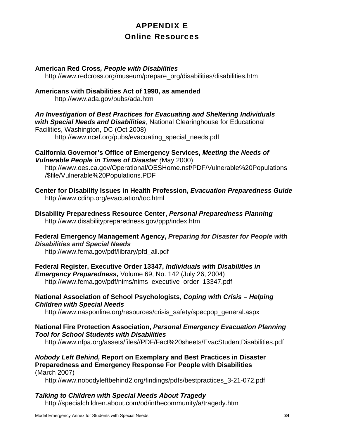# APPENDIX E Online Resources

### **American Red Cross***, People with Disabilities*

http://www.redcross.org/museum/prepare\_org/disabilities/disabilities.htm

### **Americans with Disabilities Act of 1990, as amended**  http://www.ada.gov/pubs/ada.htm

*An Investigation of Best Practices for Evacuating and Sheltering Individuals with Special Needs and Disabilities*, National Clearinghouse for Educational Facilities, Washington, DC (Oct 2008) http://www.ncef.org/pubs/evacuating\_special\_needs.pdf

### **California Governor's Office of Emergency Services,** *Meeting the Needs of Vulnerable People in Times of Disaster (*May 2000)

 http://www.oes.ca.gov/Operational/OESHome.nsf/PDF/Vulnerable%20Populations /\$file/Vulnerable%20Populations.PDF

**Center for Disability Issues in Health Profession,** *Evacuation Preparedness Guide*  http://www.cdihp.org/evacuation/toc.html

**Disability Preparedness Resource Center,** *Personal Preparedness Planning* http://www.disabilitypreparedness.gov/ppp/index.htm

### **Federal Emergency Management Agency,** *Preparing for Disaster for People with Disabilities and Special Needs*

http://www.fema.gov/pdf/library/pfd\_all.pdf

### **Federal Register, Executive Order 13347,** *Individuals with Disabilities in*

*Emergency Preparedness,* Volume 69, No. 142 (July 26, 2004) http://www.fema.gov/pdf/nims/nims\_executive\_order\_13347.pdf

### **National Association of School Psychologists,** *Coping with Crisis – Helping Children with Special Needs*

http://www.nasponline.org/resources/crisis\_safety/specpop\_general.aspx

### **National Fire Protection Association,** *Personal Emergency Evacuation Planning Tool for School Students with Disabilities*

http://www.nfpa.org/assets/files//PDF/Fact%20sheets/EvacStudentDisabilities.pdf

### *Nobody Left Behind,* **Report on Exemplary and Best Practices in Disaster Preparedness and Emergency Response For People with Disabilities**  (March 2007)

http://www.nobodyleftbehind2.org/findings/pdfs/bestpractices\_3-21-072.pdf

### *Talking to Children with Special Needs About Tragedy*

http://specialchildren.about.com/od/inthecommunity/a/tragedy.htm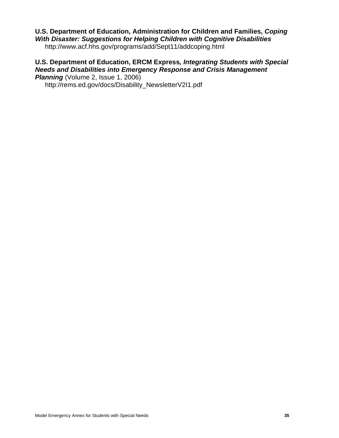### **U.S. Department of Education, Administration for Children and Families,** *Coping With Disaster: Suggestions for Helping Children with Cognitive Disabilities*

http://www.acf.hhs.gov/programs/add/Sept11/addcoping.html

### **U.S. Department of Education, ERCM Express***, Integrating Students with Special Needs and Disabilities into Emergency Response and Crisis Management* **Planning** (Volume 2, Issue 1, 2006)

http://rems.ed.gov/docs/Disability\_NewsletterV2I1.pdf